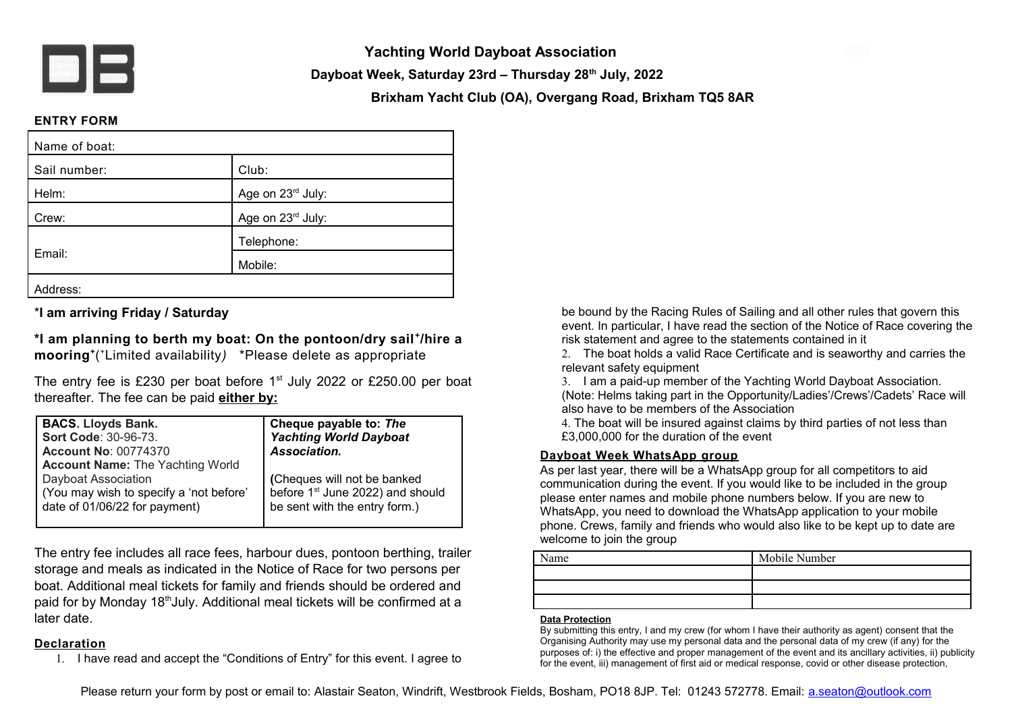

**Yachting World Dayboat Association**

**Dayboat Week, Saturday 23rd – Thursday 28th July, 2022**

**Brixham Yacht Club (OA), Overgang Road, Brixham TQ5 8AR**

## **ENTRY FORM**

| Name of boat: |                   |
|---------------|-------------------|
| Sail number:  | Club:             |
| Helm:         | Age on 23rd July: |
| Crew:         | Age on 23rd July: |
| Email:        | Telephone:        |
|               | Mobile:           |
| Address:      |                   |

\***I am arriving Friday / Saturday**

**\*I am planning to berth my boat: On the pontoon/dry sail <sup>+</sup> /hire a mooring<sup>+</sup>** ( <sup>+</sup>Limited availability*)* \*Please delete as appropriate

The entry fee is £230 per boat before 1<sup>st</sup> July 2022 or £250.00 per boat thereafter. The fee can be paid **either by:**

| <b>BACS. Lloyds Bank.</b>                                                                                                                  | Cheque payable to: The                                                                                       |
|--------------------------------------------------------------------------------------------------------------------------------------------|--------------------------------------------------------------------------------------------------------------|
| Sort Code: 30-96-73.                                                                                                                       | <b>Yachting World Dayboat</b>                                                                                |
| <b>Account No: 00774370</b>                                                                                                                | Association.                                                                                                 |
| <b>Account Name: The Yachting World</b><br>Dayboat Association<br>(You may wish to specify a 'not before'<br>date of 01/06/22 for payment) | (Cheques will not be banked<br>before 1 <sup>st</sup> June 2022) and should<br>be sent with the entry form.) |

The entry fee includes all race fees, harbour dues, pontoon berthing, trailer storage and meals as indicated in the Notice of Race for two persons per boat. Additional meal tickets for family and friends should be ordered and paid for by Monday 18<sup>th</sup>July. Additional meal tickets will be confirmed at a later date.

## **Declaration**

1. I have read and accept the "Conditions of Entry" for this event. I agree to

be bound by the Racing Rules of Sailing and all other rules that govern this event. In particular, I have read the section of the Notice of Race covering the risk statement and agree to the statements contained in it

2. The boat holds a valid Race Certificate and is seaworthy and carries the relevant safety equipment

3. I am a paid-up member of the Yachting World Dayboat Association. (Note: Helms taking part in the Opportunity/Ladies'/Crews'/Cadets' Race will also have to be members of the Association

4. The boat will be insured against claims by third parties of not less than £3,000,000 for the duration of the event

## **Dayboat Week WhatsApp group**

As per last year, there will be a WhatsApp group for all competitors to aid communication during the event. If you would like to be included in the group please enter names and mobile phone numbers below. If you are new to WhatsApp, you need to download the WhatsApp application to your mobile phone. Crews, family and friends who would also like to be kept up to date are welcome to join the group

| lame | Mobile Number |
|------|---------------|
|      |               |
|      |               |
|      |               |

## **Data Protection**

By submitting this entry, I and my crew (for whom I have their authority as agent) consent that the Organising Authority may use my personal data and the personal data of my crew (if any) for the purposes of: i) the effective and proper management of the event and its ancillary activities, ii) publicity for the event, iii) management of first aid or medical response, covid or other disease protection,

Please return your form by post or email to: Alastair Seaton, Windrift, Westbrook Fields, Bosham, PO18 8JP. Tel: 01243 572778. Email: [a.seaton@outlook.com](mailto:a.seaton@outlook.com)